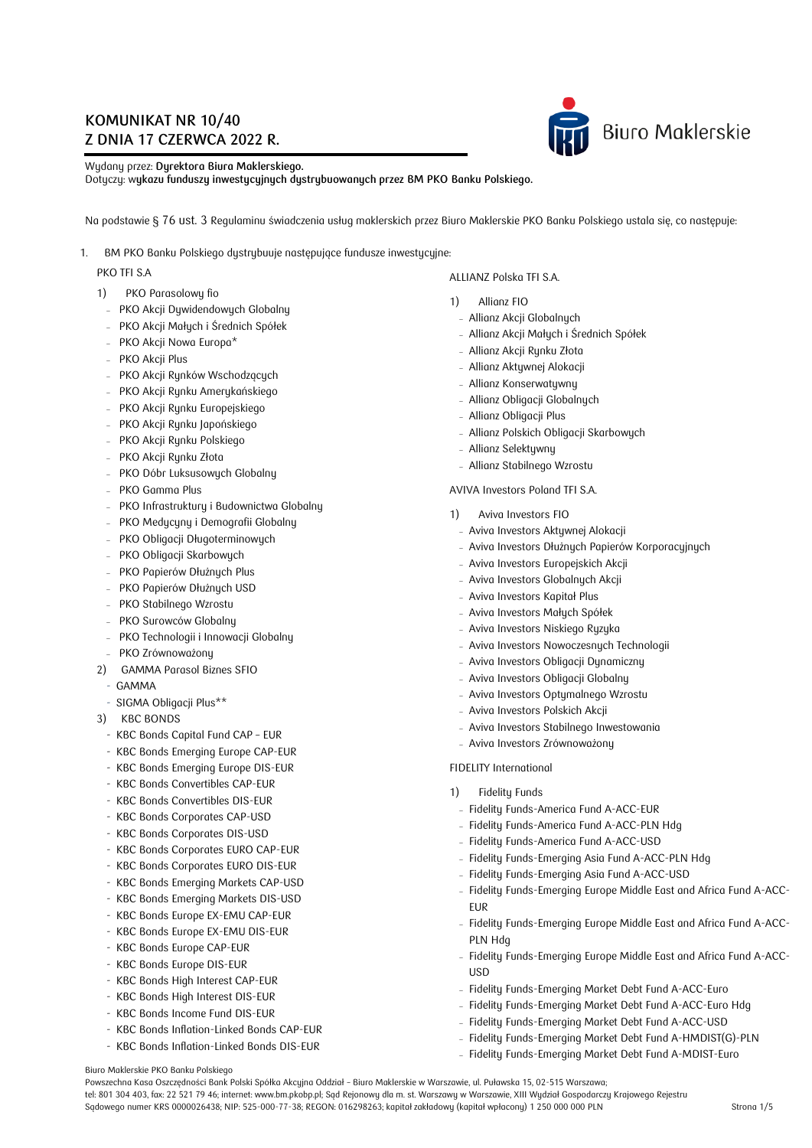# **KOMUNIKAT NR 10/40 Z DNIA 17 CZERWCA 2022 R.**



Wydany przez: **Dyrektora Biura Maklerskiego.** Dotyczy: w**ykazu funduszy inwestycyjnych dystrybuowanych przez BM PKO Banku Polskiego.**

Na podstawie § 76 ust. 3 Regulaminu świadczenia usług maklerskich przez Biuro Maklerskie PKO Banku Polskiego ustala się, co następuje:

1. BM PKO Banku Polskiego dystrybuuje następujące fundusze inwestycyjne:

## PKO TFI S.A

- 1) PKO Parasolowy fio
- PKO Akcji Dywidendowych Globalny
- PKO Akcji Małych i Średnich Spółek
- PKO Akcji Nowa Europa\*
- PKO Akcji Plus
- PKO Akcji Rynków Wschodzących
- PKO Akcji Rynku Amerykańskiego
- PKO Akcji Rynku Europejskiego
- PKO Akcji Rynku Japońskiego
- PKO Akcji Rynku Polskiego
- PKO Akcji Rynku Złota
- PKO Dóbr Luksusowych Globalny
- PKO Gamma Plus
- PKO Infrastruktury i Budownictwa Globalny
- PKO Medycyny i Demografii Globalny
- PKO Obligacji Długoterminowych
- PKO Obligacji Skarbowych
- PKO Papierów Dłużnych Plus
- PKO Papierów Dłużnych USD
- PKO Stabilnego Wzrostu
- PKO Surowców Globalny
- PKO Technologii i Innowacji Globalny
- PKO Zrównoważony
- 2) GAMMA Parasol Biznes SFIO
- GAMMA
- SIGMA Obligacji Plus\*\*
- 3) KBC BONDS
- KBC Bonds Capital Fund CAP EUR
- KBC Bonds Emerging Europe CAP-EUR
- KBC Bonds Emerging Europe DIS-EUR
- KBC Bonds Convertibles CAP-EUR
- KBC Bonds Convertibles DIS-EUR
- KBC Bonds Corporates CAP-USD
- KBC Bonds Corporates DIS-USD
- KBC Bonds Corporates EURO CAP-EUR
- KBC Bonds Corporates EURO DIS-EUR
- KBC Bonds Emerging Markets CAP-USD
- KBC Bonds Emerging Markets DIS-USD
- KBC Bonds Europe EX-EMU CAP-EUR
- KBC Bonds Europe EX-EMU DIS-EUR
- KBC Bonds Europe CAP-EUR
- KBC Bonds Europe DIS-EUR
- KBC Bonds High Interest CAP-EUR
- KBC Bonds High Interest DIS-EUR
- KBC Bonds Income Fund DIS-EUR
- KBC Bonds Inflation-Linked Bonds CAP-EUR
- KBC Bonds Inflation-Linked Bonds DIS-EUR

ALLIANZ Polska TFI S.A.

- 1) Allianz FIO
- Allianz Akcji Globalnych
- Allianz Akcji Małych i Średnich Spółek
- Allianz Akcji Rynku Złota
- Allianz Aktywnej Alokacji
- Allianz Konserwatywny
- Allianz Obligacji Globalnych
- Allianz Obligacji Plus
- Allianz Polskich Obligacji Skarbowych
- Allianz Selektywny
- Allianz Stabilnego Wzrostu

### AVIVA Investors Poland TFI S.A.

- 1) Aviva Investors FIO
	- Aviva Investors Aktywnej Alokacji
	- Aviva Investors Dłużnych Papierów Korporacyjnych
	- Aviva Investors Europejskich Akcji
	- Aviva Investors Globalnych Akcji
	- Aviva Investors Kapitał Plus
	- Aviva Investors Małych Spółek
	- Aviva Investors Niskiego Ryzyka
	- Aviva Investors Nowoczesnych Technologii
	- Aviva Investors Obligacji Dynamiczny
	- Aviva Investors Obligacji Globalny
	- Aviva Investors Optymalnego Wzrostu
	- Aviva Investors Polskich Akcji
	- Aviva Investors Stabilnego Inwestowania
	- Aviva Investors Zrównoważony

### FIDELITY International

- 1) Fidelity Funds
- Fidelity Funds-America Fund A-ACC-EUR
- Fidelity Funds-America Fund A-ACC-PLN Hdg
- Fidelity Funds-America Fund A-ACC-USD
- Fidelity Funds-Emerging Asia Fund A-ACC-PLN Hdg
- Fidelity Funds-Emerging Asia Fund A-ACC-USD
- Fidelity Funds-Emerging Europe Middle East and Africa Fund A-ACC-EUR
- Fidelity Funds-Emerging Europe Middle East and Africa Fund A-ACC-PLN Hdg
- Fidelity Funds-Emerging Europe Middle East and Africa Fund A-ACC-USD
- Fidelity Funds-Emerging Market Debt Fund A-ACC-Euro
- Fidelity Funds-Emerging Market Debt Fund A-ACC-Euro Hdg
- Fidelity Funds-Emerging Market Debt Fund A-ACC-USD
- Fidelity Funds-Emerging Market Debt Fund A-HMDIST(G)-PLN
- Fidelity Funds-Emerging Market Debt Fund A-MDIST-Euro

Biuro Maklerskie PKO Banku Polskiego

Powszechna Kasa Oszczędności Bank Polski Spółka Akcyjna Oddział – Biuro Maklerskie w Warszawie, ul. Puławska 15, 02-515 Warszawa; tel: 801 304 403, fax: 22 521 79 46; internet: www.bm.pkobp.pl; Sąd Rejonowy dla m. st. Warszawy w Warszawie, XIII Wydział Gospodarczy Krajowego Rejestru Sądowego numer KRS 0000026438; NIP: 525-000-77-38; REGON: 016298263; kapitał zakładowy (kapitał wpłacony) 1 250 000 000 PLN Strona 1/5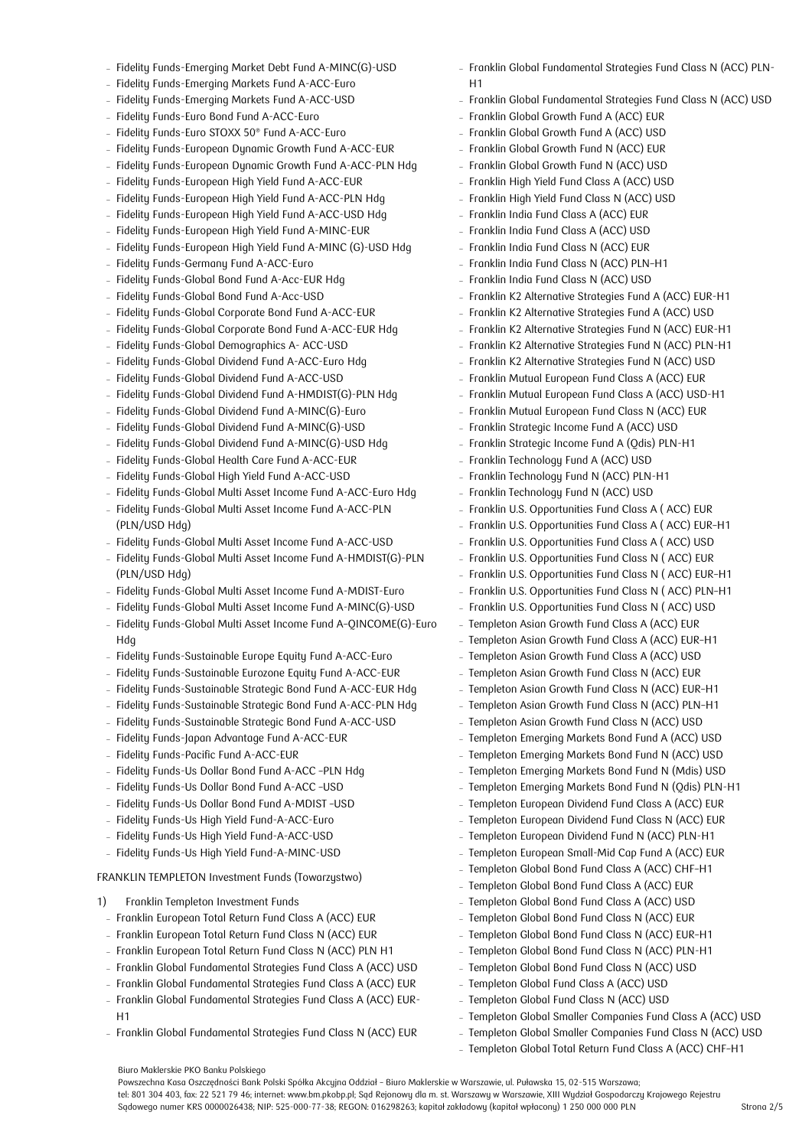- Fidelity Funds-Emerging Market Debt Fund A-MINC(G)-USD
- Fidelity Funds-Emerging Markets Fund A-ACC-Euro
- Fidelity Funds-Emerging Markets Fund A-ACC-USD
- Fidelity Funds-Euro Bond Fund A-ACC-Euro
- Fidelity Funds-Euro STOXX 50<sup>®</sup> Fund A-ACC-Euro
- Fidelity Funds-European Dynamic Growth Fund A-ACC-EUR
- Fidelity Funds-European Dynamic Growth Fund A-ACC-PLN Hdg
- Fidelity Funds-European High Yield Fund A-ACC-EUR
- Fidelity Funds-European High Yield Fund A-ACC-PLN Hdg
- Fidelity Funds-European High Yield Fund A-ACC-USD Hdg
- Fidelity Funds-European High Yield Fund A-MINC-EUR
- Fidelity Funds-European High Yield Fund A-MINC (G)-USD Hdg
- Fidelity Funds-Germany Fund A-ACC-Euro
- Fidelity Funds-Global Bond Fund A-Acc-EUR Hdg
- Fidelity Funds-Global Bond Fund A-Acc-USD
- Fidelity Funds-Global Corporate Bond Fund A-ACC-EUR
- Fidelity Funds-Global Corporate Bond Fund A-ACC-EUR Hdg
- Fidelity Funds-Global Demographics A- ACC-USD
- Fidelity Funds-Global Dividend Fund A-ACC-Euro Hdg
- Fidelity Funds-Global Dividend Fund A-ACC-USD
- Fidelity Funds-Global Dividend Fund A-HMDIST(G)-PLN Hdg
- Fidelity Funds-Global Dividend Fund A-MINC(G)-Euro
- Fidelity Funds-Global Dividend Fund A-MINC(G)-USD
- Fidelity Funds-Global Dividend Fund A-MINC(G)-USD Hdg
- Fidelity Funds-Global Health Care Fund A-ACC-EUR
- Fidelity Funds-Global High Yield Fund A-ACC-USD
- Fidelity Funds-Global Multi Asset Income Fund A-ACC-Euro Hdg
- Fidelity Funds-Global Multi Asset Income Fund A-ACC-PLN (PLN/USD Hdg)
- Fidelity Funds-Global Multi Asset Income Fund A-ACC-USD
- Fidelity Funds-Global Multi Asset Income Fund A-HMDIST(G)-PLN (PLN/USD Hdg)
- Fidelity Funds-Global Multi Asset Income Fund A-MDIST-Euro
- Fidelity Funds-Global Multi Asset Income Fund A-MINC(G)-USD
- Fidelity Funds-Global Multi Asset Income Fund A–QINCOME(G)-Euro Hdg
- Fidelity Funds-Sustainable Europe Equity Fund A-ACC-Euro
- Fidelity Funds-Sustainable Eurozone Equity Fund A-ACC-EUR
- Fidelity Funds-Sustainable Strategic Bond Fund A-ACC-EUR Hdg
- Fidelity Funds-Sustainable Strategic Bond Fund A-ACC-PLN Hdg
- Fidelity Funds-Sustainable Strategic Bond Fund A-ACC-USD
- Fidelity Funds-Japan Advantage Fund A-ACC-EUR
- Fidelity Funds-Pacific Fund A-ACC-EUR
- Fidelity Funds-Us Dollar Bond Fund A-ACC -PLN Hdg
- Fidelity Funds-Us Dollar Bond Fund A-ACC -USD
- Fidelity Funds-Us Dollar Bond Fund A-MDIST –USD
- Fidelity Funds-Us High Yield Fund-A-ACC-Euro
- Fidelity Funds-Us High Yield Fund-A-ACC-USD
- Fidelity Funds-Us High Yield Fund-A-MINC-USD

FRANKLIN TEMPLETON Investment Funds (Towarzystwo)

1) Franklin Templeton Investment Funds

Biuro Maklerskie PKO Banku Polskiego

- Franklin European Total Return Fund Class A (ACC) EUR
- Franklin European Total Return Fund Class N (ACC) EUR
- Franklin European Total Return Fund Class N (ACC) PLN H1
- Franklin Global Fundamental Strategies Fund Class A (ACC) USD
- Franklin Global Fundamental Strategies Fund Class A (ACC) EUR
- Franklin Global Fundamental Strategies Fund Class A (ACC) EUR-H1
- Franklin Global Fundamental Strategies Fund Class N (ACC) EUR

Powszechna Kasa Oszczędności Bank Polski Spółka Akcyjna Oddział – Biuro Maklerskie w Warszawie, ul. Puławska 15, 02-515 Warszawa;

tel: 801 304 403, fax: 22 521 79 46; internet: www.bm.pkobp.pl; Sąd Rejonowy dla m. st. Warszawy w Warszawie, XIII Wydział Gospodarczy Krajowego Rejestru

Sądowego numer KRS 0000026438; NIP: 525-000-77-38; REGON: 016298263; kapitał zakładowy (kapitał wpłacony) 1 250 000 000 PLN Strona 2/5

- Franklin Global Fundamental Strategies Fund Class N (ACC) PLN-H1
- Franklin Global Fundamental Strategies Fund Class N (ACC) USD
- Franklin Global Growth Fund A (ACC) EUR
- Franklin Global Growth Fund A (ACC) USD
- Franklin Global Growth Fund N (ACC) EUR
- Franklin Global Growth Fund N (ACC) USD
- Franklin High Yield Fund Class A (ACC) USD
- Franklin High Yield Fund Class N (ACC) USD
- Franklin India Fund Class A (ACC) EUR
- Franklin India Fund Class A (ACC) USD
- Franklin India Fund Class N (ACC) EUR
- Franklin India Fund Class N (ACC) PLN-H1
- Franklin India Fund Class N (ACC) USD
- Franklin K2 Alternative Strategies Fund A (ACC) EUR-H1
- Franklin K2 Alternative Strategies Fund A (ACC) USD
- Franklin K2 Alternative Strategies Fund N (ACC) EUR-H1
- Franklin K2 Alternative Strategies Fund N (ACC) PLN-H1
- Franklin K2 Alternative Strategies Fund N (ACC) USD
- Franklin Mutual European Fund Class A (ACC) EUR
- Franklin Mutual European Fund Class A (ACC) USD-H1
- Franklin Mutual European Fund Class N (ACC) EUR
- Franklin Strategic Income Fund A (ACC) USD
- Franklin Strategic Income Fund A (Qdis) PLN-H1
- Franklin Technology Fund A (ACC) USD
- Franklin Technology Fund N (ACC) PLN-H1
- Franklin Technology Fund N (ACC) USD
- Franklin U.S. Opportunities Fund Class A ( ACC) EUR
- Franklin U.S. Opportunities Fund Class A ( ACC) EUR–H1
- Franklin U.S. Opportunities Fund Class A ( ACC) USD
- Franklin U.S. Opportunities Fund Class N (ACC) EUR
- Franklin U.S. Opportunities Fund Class N (ACC) EUR-H1
- Franklin U.S. Opportunities Fund Class N ( ACC) PLN–H1
- Franklin U.S. Opportunities Fund Class N ( ACC) USD
- Templeton Asian Growth Fund Class A (ACC) EUR
- Templeton Asian Growth Fund Class A (ACC) EUR–H1
- Templeton Asian Growth Fund Class A (ACC) USD
- Templeton Asian Growth Fund Class N (ACC) EUR
- Templeton Asian Growth Fund Class N (ACC) EUR–H1
- Templeton Asian Growth Fund Class N (ACC) PLN–H1
- Templeton Asian Growth Fund Class N (ACC) USD
- Templeton Emerging Markets Bond Fund A (ACC) USD
- Templeton Emerging Markets Bond Fund N (ACC) USD
- Templeton Emerging Markets Bond Fund N (Mdis) USD
- Templeton Emerging Markets Bond Fund N (Qdis) PLN-H1
- Templeton European Dividend Fund Class A (ACC) EUR Templeton European Dividend Fund Class N (ACC) EUR

 Templeton Global Smaller Companies Fund Class A (ACC) USD Templeton Global Smaller Companies Fund Class N (ACC) USD Templeton Global Total Return Fund Class A (ACC) CHF–H1

 Templeton European Dividend Fund N (ACC) PLN-H1 Templeton European Small-Mid Cap Fund A (ACC) EUR Templeton Global Bond Fund Class A (ACC) CHF–H1 Templeton Global Bond Fund Class A (ACC) EUR Templeton Global Bond Fund Class A (ACC) USD Templeton Global Bond Fund Class N (ACC) EUR Templeton Global Bond Fund Class N (ACC) EUR–H1 Templeton Global Bond Fund Class N (ACC) PLN-H1 Templeton Global Bond Fund Class N (ACC) USD Templeton Global Fund Class A (ACC) USD Templeton Global Fund Class N (ACC) USD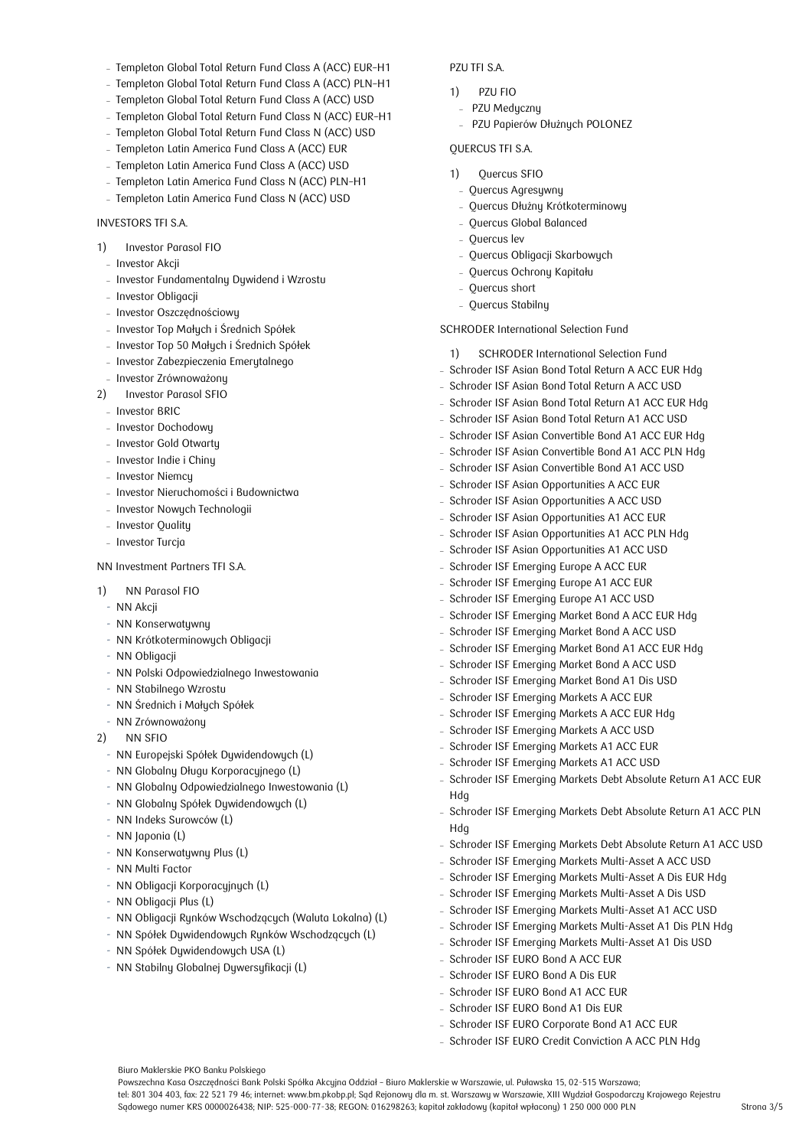- Templeton Global Total Return Fund Class A (ACC) EUR-H1
- Templeton Global Total Return Fund Class A (ACC) PLN–H1
- Templeton Global Total Return Fund Class A (ACC) USD
- Templeton Global Total Return Fund Class N (ACC) EUR–H1
- Templeton Global Total Return Fund Class N (ACC) USD
- Templeton Latin America Fund Class A (ACC) EUR
- Templeton Latin America Fund Class A (ACC) USD
- Templeton Latin America Fund Class N (ACC) PLN–H1
- Templeton Latin America Fund Class N (ACC) USD

## INVESTORS TFI S.A.

- 1) Investor Parasol FIO
- Investor Akcji
- Investor Fundamentalny Dywidend i Wzrostu
- Investor Obligacji
- Investor Oszczędnościowy
- Investor Top Małych i Średnich Spółek
- Investor Top 50 Małych i Średnich Spółek
- Investor Zabezpieczenia Emerytalnego
- Investor Zrównoważony
- 2) Investor Parasol SFIO
- Investor BRIC
- Investor Dochodowy
- Investor Gold Otwartu
- Investor Indie i Chiny
- Investor Niemcy
- Investor Nieruchomości i Budownictwa
- Investor Nowych Technologii
- Investor Quality
- Investor Turcja

NN Investment Partners TFI S.A.

- 1) NN Parasol FIO
	- NN Akcji
	- NN Konserwatywny
	- NN Krótkoterminowych Obligacji
	- NN Obligacji
	- NN Polski Odpowiedzialnego Inwestowania
	- NN Stabilnego Wzrostu
	- NN Średnich i Małych Spółek
	- NN Zrównoważony
- 2) NN SFIO
- NN Europejski Spółek Dywidendowych (L)
- NN Globalny Długu Korporacyjnego (L)
- NN Globalny Odpowiedzialnego Inwestowania (L)
- NN Globalny Spółek Dywidendowych (L)
- NN Indeks Surowców (L)
- NN Japonia (L)
- NN Konserwatywny Plus (L)
- NN Multi Factor
- NN Obligacji Korporacyjnych (L)
- NN Obligacji Plus (L)
- NN Obligacji Rynków Wschodzących (Waluta Lokalna) (L)

Powszechna Kasa Oszczędności Bank Polski Spółka Akcyjna Oddział – Biuro Maklerskie w Warszawie, ul. Puławska 15, 02-515 Warszawa;

tel: 801 304 403, fax: 22 521 79 46; internet: www.bm.pkobp.pl; Sąd Rejonowy dla m. st. Warszawy w Warszawie, XIII Wydział Gospodarczy Krajowego Rejestru

Sądowego numer KRS 0000026438; NIP: 525-000-77-38; REGON: 016298263; kapitał zakładowy (kapitał wpłacony) 1 250 000 000 PLN Strona 3/5

- NN Spółek Dywidendowych Rynków Wschodzących (L)
- NN Spółek Dywidendowych USA (L)

Biuro Maklerskie PKO Banku Polskiego

- NN Stabilny Globalnej Dywersyfikacji (L)

#### PZU TFI S.A.

- 1) PZU FIO
- PZU Medyczny
- PZU Papierów Dłużnych POLONEZ

## QUERCUS TFI S.A.

- 1) Quercus SFIO
	- Quercus Agresywny
	- Quercus Dłużny Krótkoterminowy
	- Quercus Global Balanced
	- Quercus lev
	- Quercus Obligacji Skarbowych
	- Quercus Ochrony Kapitału
	- Quercus short
	- Quercus Stabilny

SCHRODER International Selection Fund

- 1) SCHRODER International Selection Fund
- Schroder ISF Asian Bond Total Return A ACC EUR Hdg
- Schroder ISF Asian Bond Total Return A ACC USD
- Schroder ISF Asian Bond Total Return A1 ACC FUR Hdg
- Schroder ISF Asian Bond Total Return A1 ACC USD
- Schroder ISF Asian Convertible Bond A1 ACC EUR Hdg
- Schroder ISF Asian Convertible Bond A1 ACC PLN Hdg
- Schroder ISF Asian Convertible Bond A1 ACC USD
- Schroder ISF Asian Opportunities A ACC EUR
- Schroder ISF Asian Opportunities A ACC USD
- Schroder ISF Asian Opportunities A1 ACC EUR
- Schroder ISF Asian Opportunities A1 ACC PLN Hdg
- Schroder ISF Asian Opportunities A1 ACC USD
- Schroder ISF Emerging Europe A ACC EUR
- Schroder ISF Emerging Europe A1 ACC EUR
- Schroder ISF Emerging Europe A1 ACC USD
- Schroder ISF Emerging Market Bond A ACC EUR Hdg
- Schroder ISF Emerging Market Bond A ACC USD
- Schroder ISF Emerging Market Bond A1 ACC EUR Hdg
- Schroder ISF Emerging Market Bond A ACC USD
- Schroder ISF Emerging Market Bond A1 Dis USD
- Schroder ISF Emerging Markets A ACC EUR
- Schroder ISF Emerging Markets A ACC EUR Hdg
- Schroder ISF Emerging Markets A ACC USD
- Schroder ISF Emerging Markets A1 ACC EUR
- Schroder ISF Emerging Markets A1 ACC USD

- Schroder ISF EURO Bond A ACC EUR - Schroder ISF EURO Bond A Dis EUR - Schroder ISF EURO Bond A1 ACC EUR - Schroder ISF EURO Bond A1 Dis EUR

- Schroder ISF Emerging Markets Debt Absolute Return A1 ACC EUR Hdg
- Schroder ISF Emerging Markets Debt Absolute Return A1 ACC PLN Hdg
- Schroder ISF Emerging Markets Debt Absolute Return A1 ACC USD
- Schroder ISF Emerging Markets Multi-Asset A ACC USD
- Schroder ISF Emerging Markets Multi-Asset A Dis EUR Hdg Schroder ISF Emerging Markets Multi-Asset A Dis USD

- Schroder ISF Emerging Markets Multi-Asset A1 ACC USD Schroder ISF Emerging Markets Multi-Asset A1 Dis PLN Hdg Schroder ISF Emerging Markets Multi-Asset A1 Dis USD

 Schroder ISF EURO Corporate Bond A1 ACC EUR - Schroder ISF EURO Credit Conviction A ACC PLN Hdg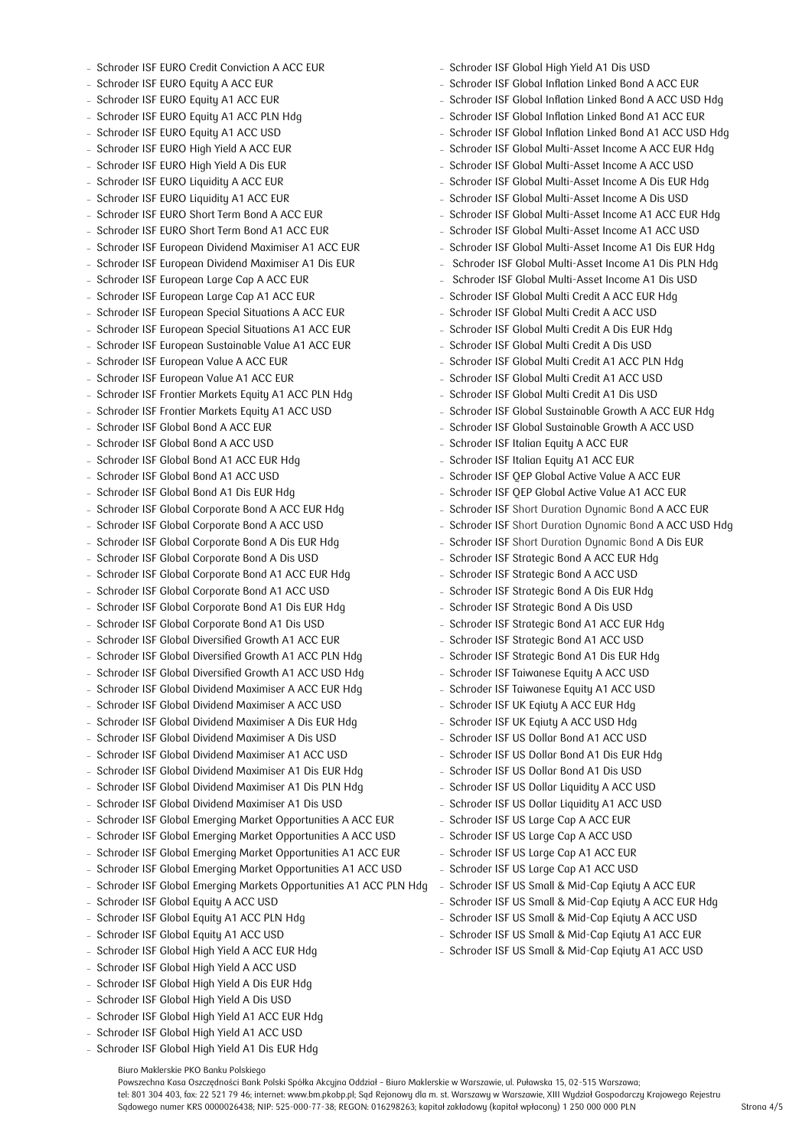- Schroder ISF EURO Credit Conviction A ACC EUR
- Schroder ISF EURO Equity A ACC EUR
- Schroder ISF EURO Equity A1 ACC EUR
- Schroder ISF EURO Equity A1 ACC PLN Hdg
- Schroder ISF EURO Equity A1 ACC USD
- Schroder ISF EURO High Yield A ACC EUR
- Schroder ISF EURO High Yield A Dis EUR
- Schroder ISF EURO Liquidity A ACC EUR
- Schroder ISF EURO Liquidity A1 ACC EUR
- Schroder ISF EURO Short Term Bond A ACC EUR
- Schroder ISF EURO Short Term Bond A1 ACC EUR
- Schroder ISF European Dividend Maximiser A1 ACC EUR
- Schroder ISF European Dividend Maximiser A1 Dis EUR
- Schroder ISF European Large Cap A ACC EUR
- Schroder ISF European Large Cap A1 ACC EUR
- Schroder ISF European Special Situations A ACC EUR
- Schroder ISF European Special Situations A1 ACC EUR
- Schroder ISF European Sustainable Value A1 ACC EUR
- Schroder ISF European Value A ACC EUR
- Schroder ISF European Value A1 ACC EUR
- Schroder ISF Frontier Markets Equity A1 ACC PLN Hdg
- Schroder ISF Frontier Markets Equity A1 ACC USD
- Schroder ISF Global Bond A ACC EUR
- Schroder ISF Global Bond A ACC USD
- Schroder ISF Global Bond A1 ACC EUR Hdg
- Schroder ISF Global Bond A1 ACC USD
- Schroder ISF Global Bond A1 Dis EUR Hdg
- Schroder ISF Global Corporate Bond A ACC EUR Hdg
- Schroder ISF Global Corporate Bond A ACC USD
- Schroder ISF Global Corporate Bond A Dis EUR Hdg
- Schroder ISF Global Corporate Bond A Dis USD
- Schroder ISF Global Corporate Bond A1 ACC EUR Hdg
- Schroder ISF Global Corporate Bond A1 ACC USD
- Schroder ISF Global Corporate Bond A1 Dis EUR Hdg
- Schroder ISF Global Corporate Bond A1 Dis USD
- Schroder ISF Global Diversified Growth A1 ACC EUR
- Schroder ISF Global Diversified Growth A1 ACC PLN Hdg
- Schroder ISF Global Diversified Growth A1 ACC USD Hdg
- Schroder ISF Global Dividend Maximiser A ACC EUR Hdg
- Schroder ISF Global Dividend Maximiser A ACC USD
- Schroder ISF Global Dividend Maximiser A Dis EUR Hdg
- Schroder ISF Global Dividend Maximiser A Dis USD
- Schroder ISF Global Dividend Maximiser A1 ACC USD
- Schroder ISF Global Dividend Maximiser A1 Dis EUR Hdg
- Schroder ISF Global Dividend Maximiser A1 Dis PLN Hdg
- Schroder ISF Global Dividend Maximiser A1 Dis USD
- Schroder ISF Global Emerging Market Opportunities A ACC EUR
- Schroder ISF Global Emerging Market Opportunities A ACC USD
- Schroder ISF Global Emerging Market Opportunities A1 ACC EUR
- Schroder ISF Global Emerging Market Opportunities A1 ACC USD
- Schroder ISF Global Emerging Markets Opportunities A1 ACC PLN Hdg - Schroder ISF US Small & Mid-Cap Eqiuty A ACC EUR

Powszechna Kasa Oszczędności Bank Polski Spółka Akcyjna Oddział – Biuro Maklerskie w Warszawie, ul. Puławska 15, 02-515 Warszawa;

tel: 801 304 403, fax: 22 521 79 46; internet: www.bm.pkobp.pl; Sąd Rejonowy dla m. st. Warszawy w Warszawie, XIII Wydział Gospodarczy Krajowego Rejestru

Sądowego numer KRS 0000026438; NIP: 525-000-77-38; REGON: 016298263; kapitał zakładowy (kapitał wpłacony) 1 250 000 000 PLN Strona 4/5

- Schroder ISF Global Equity A ACC USD
- Schroder ISF Global Equity A1 ACC PLN Hdg
- Schroder ISF Global Equity A1 ACC USD
- Schroder ISF Global High Yield A ACC EUR Hdg
- Schroder ISF Global High Yield A ACC USD
- Schroder ISF Global High Yield A Dis EUR Hdg
- Schroder ISF Global High Yield A Dis USD
- Schroder ISF Global High Yield A1 ACC EUR Hdg
- Schroder ISF Global High Yield A1 ACC USD

Biuro Maklerskie PKO Banku Polskiego

- Schroder ISF Global High Yield A1 Dis EUR Hdg

- Schroder ISF Global High Yield A1 Dis USD
- Schroder ISF Global Inflation Linked Bond A ACC EUR
- Schroder ISF Global Inflation Linked Bond A ACC USD Hda
- Schroder ISF Global Inflation Linked Bond A1 ACC EUR
- Schroder ISF Global Inflation Linked Bond A1 ACC USD Hdg
- Schroder ISF Global Multi-Asset Income A ACC EUR Hdg
- Schroder ISF Global Multi-Asset Income A ACC USD
- Schroder ISF Global Multi-Asset Income A Dis EUR Hdg
- Schroder ISF Global Multi-Asset Income A Dis USD
- Schroder ISF Global Multi-Asset Income A1 ACC EUR Hdg
- Schroder ISF Global Multi-Asset Income A1 ACC USD
- Schroder ISF Global Multi-Asset Income A1 Dis EUR Hdg
- Schroder ISF Global Multi-Asset Income A1 Dis PLN Hdg
- Schroder ISF Global Multi-Asset Income A1 Dis USD
- Schroder ISF Global Multi Credit A ACC EUR Hdg
- Schroder ISF Global Multi Credit A ACC USD
- Schroder ISF Global Multi Credit A Dis EUR Hdg
- Schroder ISF Global Multi Credit A Dis USD
- Schroder ISF Global Multi Credit A1 ACC PLN Hdq
- Schroder ISF Global Multi Credit A1 ACC USD
- Schroder ISF Global Multi Credit A1 Dis USD
- Schroder ISF Global Sustainable Growth A ACC EUR Hdg
- Schroder ISF Global Sustainable Growth A ACC USD
- Schroder ISF Italian Equity A ACC EUR
- Schroder ISF Italian Equity A1 ACC EUR
- Schroder ISF QEP Global Active Value A ACC EUR
- Schroder ISF OEP Global Active Value A1 ACC EUR
- Schroder ISF Short Duration Dunamic Bond A ACC EUR
- Schroder ISF Short Duration Dynamic Bond A ACC USD Hdg
- Schroder ISF Short Duration Dynamic Bond A Dis EUR

- Schroder ISF US Small & Mid-Cap Eqiuty A ACC EUR Hdg - Schroder ISF US Small & Mid-Cap Eqiuty A ACC USD - Schroder ISF US Small & Mid-Cap Eqiuty A1 ACC EUR - Schroder ISF US Small & Mid-Cap Eqiuty A1 ACC USD

- Schroder ISF Strategic Bond A ACC EUR Hdg
- Schroder ISF Strategic Bond A ACC USD
- Schroder ISF Strategic Bond A Dis EUR Hdg
- Schroder ISF Strategic Bond A Dis USD
- Schroder ISF Strategic Bond A1 ACC EUR Hdg
- Schroder ISF Strategic Bond A1 ACC USD
- Schroder ISF Strategic Bond A1 Dis EUR Hdg
- Schroder ISF Taiwanese Equity A ACC USD
- Schroder ISF Taiwanese Equity A1 ACC USD - Schroder ISF UK Eqiuty A ACC EUR Hdg

- Schroder ISF UK Eqiuty A ACC USD Hdg - Schroder ISF US Dollar Bond A1 ACC USD - Schroder ISF US Dollar Bond A1 Dis EUR Hdg - Schroder ISF US Dollar Bond A1 Dis USD - Schroder ISF US Dollar Liquidity A ACC USD - Schroder ISF US Dollar Liquidity A1 ACC USD - Schroder ISF US Large Cap A ACC EUR - Schroder ISF US Large Cap A ACC USD - Schroder ISF US Large Cap A1 ACC EUR - Schroder ISF US Large Cap A1 ACC USD